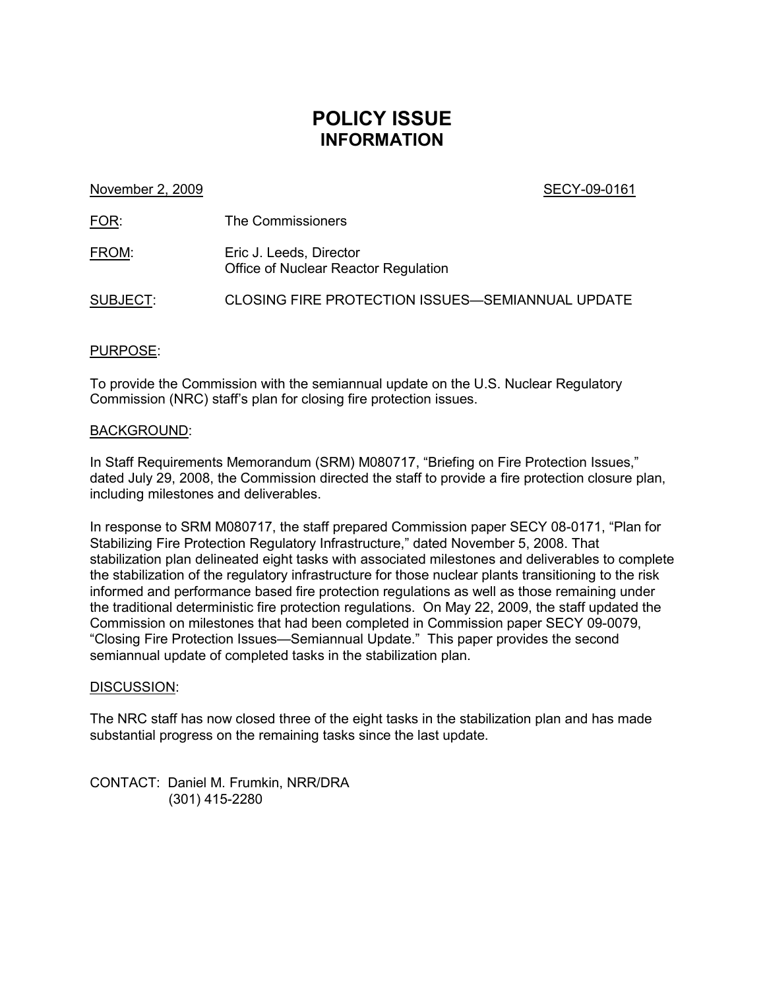# **POLICY ISSUE INFORMATION**

November 2, 2009 **SECY-09-0161** 

FOR: The Commissioners

FROM: Eric J. Leeds, Director Office of Nuclear Reactor Regulation

SUBJECT: CLOSING FIRE PROTECTION ISSUES—SEMIANNUAL UPDATE

### PURPOSE:

To provide the Commission with the semiannual update on the U.S. Nuclear Regulatory Commission (NRC) staff's plan for closing fire protection issues.

#### BACKGROUND:

In Staff Requirements Memorandum (SRM) M080717, "Briefing on Fire Protection Issues," dated July 29, 2008, the Commission directed the staff to provide a fire protection closure plan, including milestones and deliverables.

In response to SRM M080717, the staff prepared Commission paper SECY 08-0171, "Plan for Stabilizing Fire Protection Regulatory Infrastructure," dated November 5, 2008. That stabilization plan delineated eight tasks with associated milestones and deliverables to complete the stabilization of the regulatory infrastructure for those nuclear plants transitioning to the risk informed and performance based fire protection regulations as well as those remaining under the traditional deterministic fire protection regulations. On May 22, 2009, the staff updated the Commission on milestones that had been completed in Commission paper SECY 09-0079, "Closing Fire Protection Issues—Semiannual Update." This paper provides the second semiannual update of completed tasks in the stabilization plan.

#### DISCUSSION:

The NRC staff has now closed three of the eight tasks in the stabilization plan and has made substantial progress on the remaining tasks since the last update.

CONTACT: Daniel M. Frumkin, NRR/DRA (301) 415-2280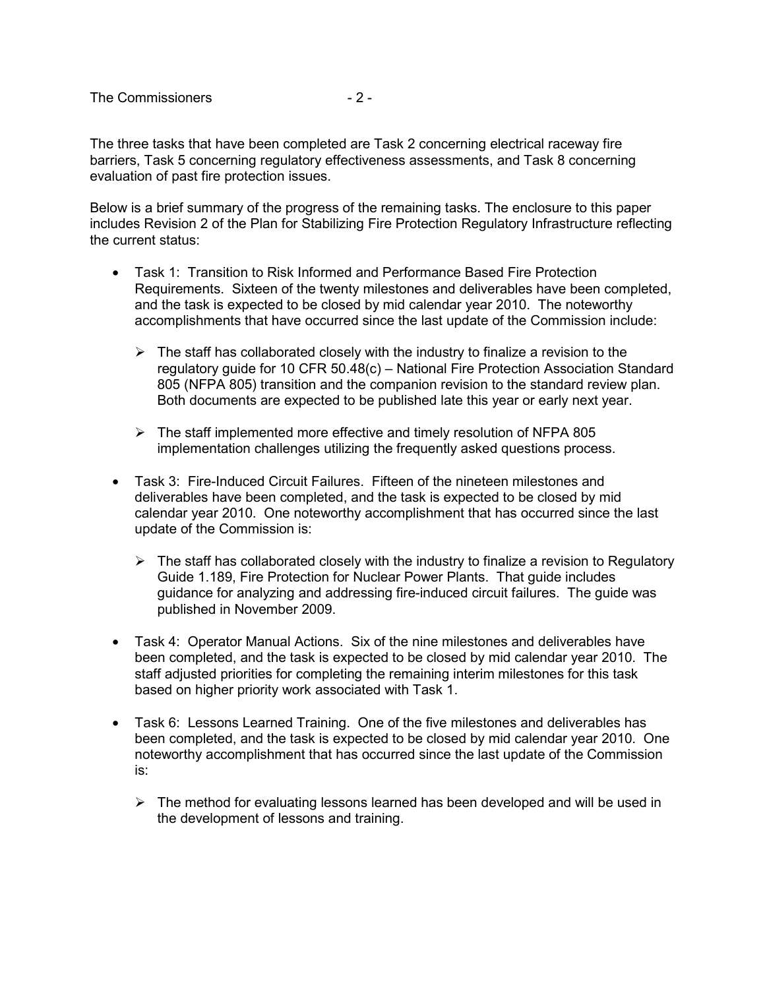The three tasks that have been completed are Task 2 concerning electrical raceway fire barriers, Task 5 concerning regulatory effectiveness assessments, and Task 8 concerning evaluation of past fire protection issues.

Below is a brief summary of the progress of the remaining tasks. The enclosure to this paper includes Revision 2 of the Plan for Stabilizing Fire Protection Regulatory Infrastructure reflecting the current status:

- Task 1: Transition to Risk Informed and Performance Based Fire Protection Requirements. Sixteen of the twenty milestones and deliverables have been completed, and the task is expected to be closed by mid calendar year 2010. The noteworthy accomplishments that have occurred since the last update of the Commission include:
	- $\triangleright$  The staff has collaborated closely with the industry to finalize a revision to the regulatory guide for 10 CFR 50.48(c) – National Fire Protection Association Standard 805 (NFPA 805) transition and the companion revision to the standard review plan. Both documents are expected to be published late this year or early next year.
	- $\triangleright$  The staff implemented more effective and timely resolution of NFPA 805 implementation challenges utilizing the frequently asked questions process.
- Task 3: Fire-Induced Circuit Failures. Fifteen of the nineteen milestones and deliverables have been completed, and the task is expected to be closed by mid calendar year 2010. One noteworthy accomplishment that has occurred since the last update of the Commission is:
	- $\triangleright$  The staff has collaborated closely with the industry to finalize a revision to Regulatory Guide 1.189, Fire Protection for Nuclear Power Plants. That guide includes guidance for analyzing and addressing fire-induced circuit failures. The guide was published in November 2009.
- Task 4: Operator Manual Actions. Six of the nine milestones and deliverables have been completed, and the task is expected to be closed by mid calendar year 2010. The staff adjusted priorities for completing the remaining interim milestones for this task based on higher priority work associated with Task 1.
- Task 6: Lessons Learned Training. One of the five milestones and deliverables has been completed, and the task is expected to be closed by mid calendar year 2010. One noteworthy accomplishment that has occurred since the last update of the Commission is:
	- $\triangleright$  The method for evaluating lessons learned has been developed and will be used in the development of lessons and training.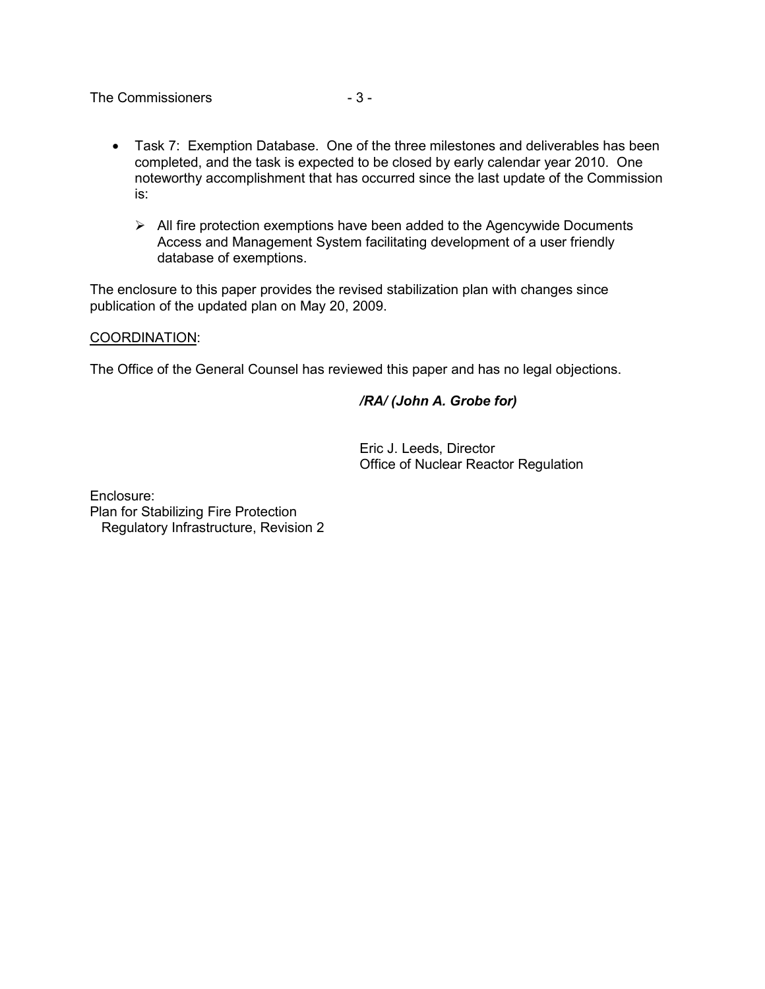The Commissioners **and Solution**  $-3 -$ 

- Task 7: Exemption Database. One of the three milestones and deliverables has been completed, and the task is expected to be closed by early calendar year 2010. One noteworthy accomplishment that has occurred since the last update of the Commission is:
	- $\triangleright$  All fire protection exemptions have been added to the Agencywide Documents Access and Management System facilitating development of a user friendly database of exemptions.

The enclosure to this paper provides the revised stabilization plan with changes since publication of the updated plan on May 20, 2009.

#### COORDINATION:

The Office of the General Counsel has reviewed this paper and has no legal objections.

#### */RA/ (John A. Grobe for)*

Eric J. Leeds, Director Office of Nuclear Reactor Regulation

Enclosure: Plan for Stabilizing Fire Protection Regulatory Infrastructure, Revision 2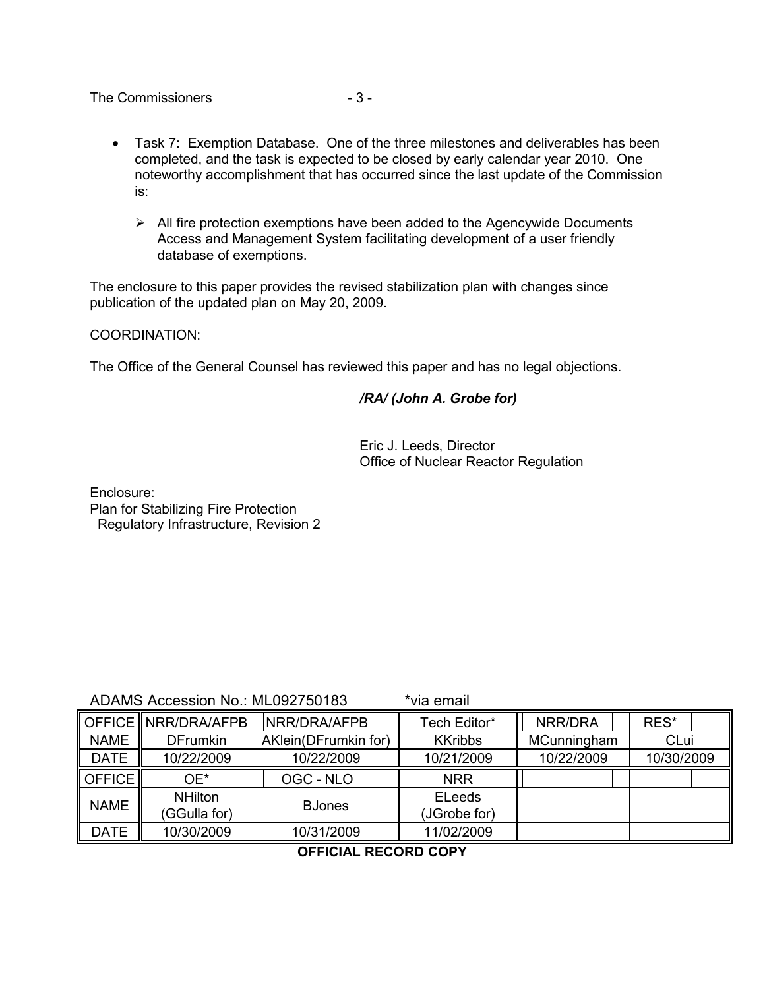The Commissioners  $-3-$ 

- Task 7: Exemption Database. One of the three milestones and deliverables has been completed, and the task is expected to be closed by early calendar year 2010. One noteworthy accomplishment that has occurred since the last update of the Commission is:
	- $\triangleright$  All fire protection exemptions have been added to the Agencywide Documents Access and Management System facilitating development of a user friendly database of exemptions.

The enclosure to this paper provides the revised stabilization plan with changes since publication of the updated plan on May 20, 2009.

#### COORDINATION:

The Office of the General Counsel has reviewed this paper and has no legal objections.

#### */RA/ (John A. Grobe for)*

Eric J. Leeds, Director Office of Nuclear Reactor Regulation

Enclosure: Plan for Stabilizing Fire Protection Regulatory Infrastructure, Revision 2

ADAMS Accession No.: ML092750183 \*via email

|                                | <b>IOFFICE  NRR/DRA/AFPB</b> | NRR/DRA/AFPB         | Tech Editor*   | NRR/DRA     | RES*       |
|--------------------------------|------------------------------|----------------------|----------------|-------------|------------|
| <b>NAME</b>                    | <b>DFrumkin</b>              | AKlein(DFrumkin for) | <b>KKribbs</b> | MCunningham | CLui       |
| <b>DATE</b>                    | 10/22/2009                   | 10/22/2009           | 10/21/2009     | 10/22/2009  | 10/30/2009 |
| $\parallel$ OFFICE $\parallel$ | OE*                          | OGC - NLO            | <b>NRR</b>     |             |            |
| <b>NAME</b>                    | <b>NHilton</b>               | <b>BJones</b>        | <b>ELeeds</b>  |             |            |
|                                | (GGulla for)                 |                      | (JGrobe for)   |             |            |
| <b>DATE</b>                    | 10/30/2009                   | 10/31/2009           | 11/02/2009     |             |            |

## **OFFICIAL RECORD COPY**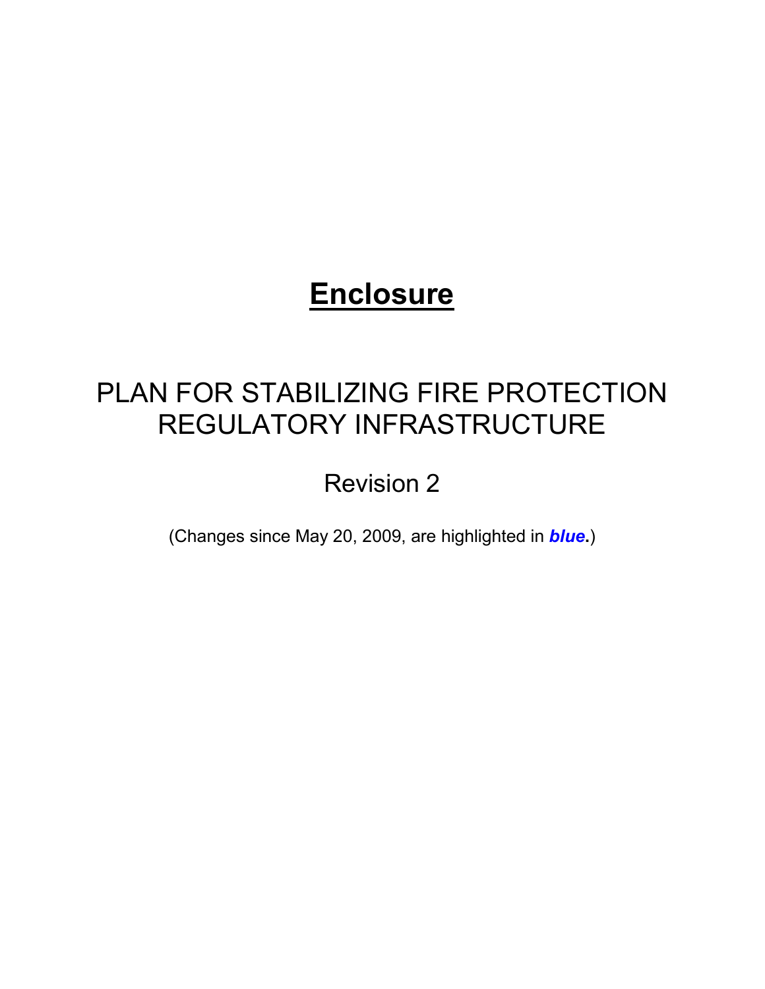# **Enclosure**

# PLAN FOR STABILIZING FIRE PROTECTION REGULATORY INFRASTRUCTURE

Revision 2

(Changes since May 20, 2009, are highlighted in *blue***.**)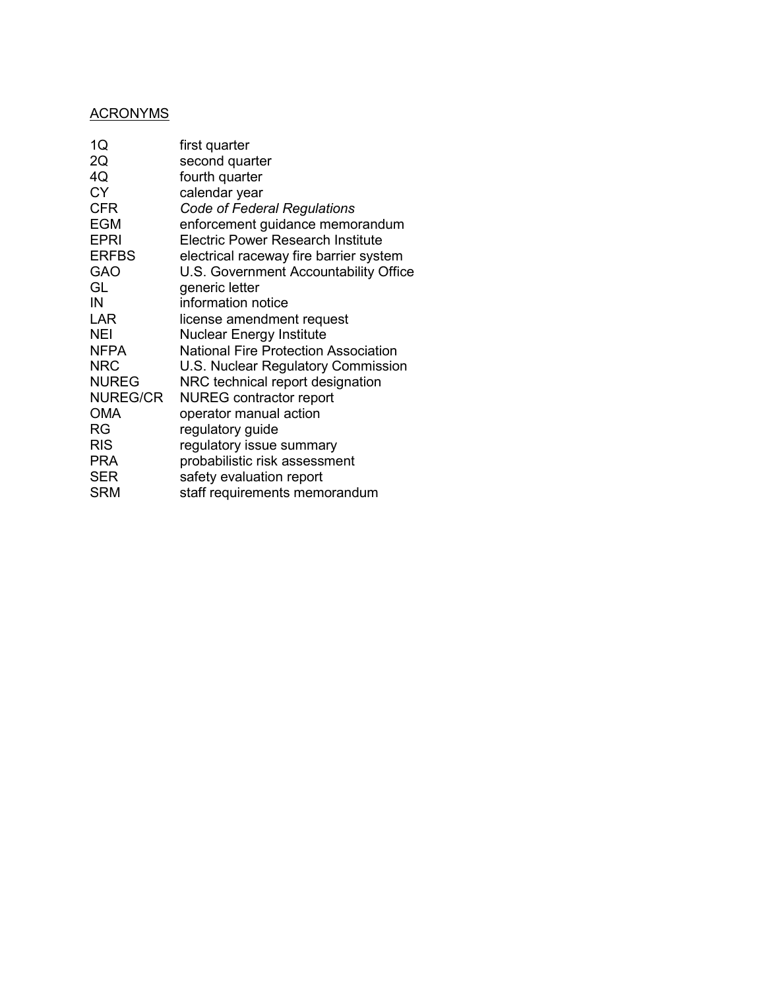# ACRONYMS

| 1Q              | first quarter                               |
|-----------------|---------------------------------------------|
| 2Q              | second quarter                              |
| 4Q              | fourth quarter                              |
| <b>CY</b>       | calendar year                               |
| <b>CFR</b>      | <b>Code of Federal Regulations</b>          |
| <b>EGM</b>      | enforcement guidance memorandum             |
| <b>EPRI</b>     | Electric Power Research Institute           |
| <b>ERFBS</b>    | electrical raceway fire barrier system      |
| <b>GAO</b>      | U.S. Government Accountability Office       |
| GL              | generic letter                              |
| IN              | information notice                          |
| <b>LAR</b>      | license amendment request                   |
| <b>NEI</b>      | <b>Nuclear Energy Institute</b>             |
| <b>NFPA</b>     | <b>National Fire Protection Association</b> |
| <b>NRC</b>      | U.S. Nuclear Regulatory Commission          |
| <b>NUREG</b>    | NRC technical report designation            |
| <b>NUREG/CR</b> | <b>NUREG</b> contractor report              |
| <b>OMA</b>      | operator manual action                      |
| RG              | regulatory guide                            |
| <b>RIS</b>      | regulatory issue summary                    |
| <b>PRA</b>      | probabilistic risk assessment               |
| <b>SER</b>      | safety evaluation report                    |
| <b>SRM</b>      | staff requirements memorandum               |
|                 |                                             |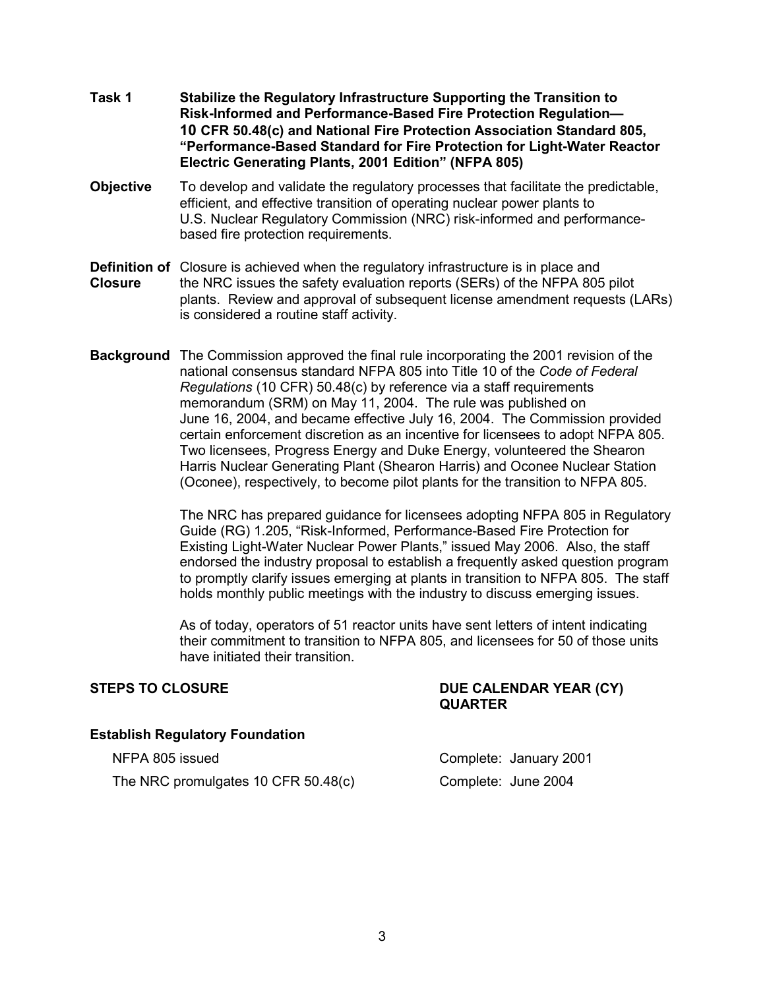- **Task 1 Stabilize the Regulatory Infrastructure Supporting the Transition to**  **Risk-Informed and Performance-Based Fire Protection Regulation— 10 CFR 50.48(c) and National Fire Protection Association Standard 805, "Performance-Based Standard for Fire Protection for Light-Water Reactor Electric Generating Plants, 2001 Edition" (NFPA 805)**
- **Objective** To develop and validate the regulatory processes that facilitate the predictable, efficient, and effective transition of operating nuclear power plants to U.S. Nuclear Regulatory Commission (NRC) risk-informed and performancebased fire protection requirements.
- **Definition of** Closure is achieved when the regulatory infrastructure is in place and **Closure** the NRC issues the safety evaluation reports (SERs) of the NFPA 805 pilot plants. Review and approval of subsequent license amendment requests (LARs) is considered a routine staff activity.
- **Background** The Commission approved the final rule incorporating the 2001 revision of the national consensus standard NFPA 805 into Title 10 of the *Code of Federal Regulations* (10 CFR) 50.48(c) by reference via a staff requirements memorandum (SRM) on May 11, 2004. The rule was published on June 16, 2004, and became effective July 16, 2004. The Commission provided certain enforcement discretion as an incentive for licensees to adopt NFPA 805. Two licensees, Progress Energy and Duke Energy, volunteered the Shearon Harris Nuclear Generating Plant (Shearon Harris) and Oconee Nuclear Station (Oconee), respectively, to become pilot plants for the transition to NFPA 805.

The NRC has prepared guidance for licensees adopting NFPA 805 in Regulatory Guide (RG) 1.205, "Risk-Informed, Performance-Based Fire Protection for Existing Light-Water Nuclear Power Plants," issued May 2006. Also, the staff endorsed the industry proposal to establish a frequently asked question program to promptly clarify issues emerging at plants in transition to NFPA 805. The staff holds monthly public meetings with the industry to discuss emerging issues.

As of today, operators of 51 reactor units have sent letters of intent indicating their commitment to transition to NFPA 805, and licensees for 50 of those units have initiated their transition.

#### STEPS TO CLOSURE **DUE CALENDAR YEAR (CY) QUARTER**

#### **Establish Regulatory Foundation**

The NRC promulgates 10 CFR 50.48(c) Complete: June 2004

NFPA 805 issued Complete: January 2001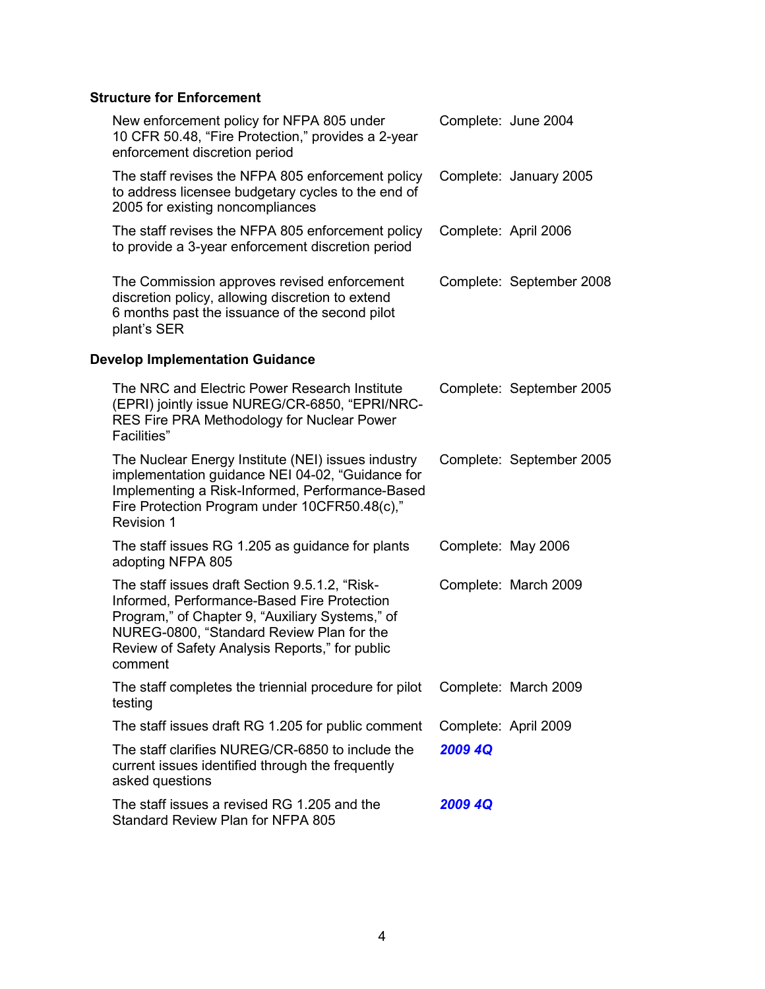# **Structure for Enforcement**

| New enforcement policy for NFPA 805 under<br>10 CFR 50.48, "Fire Protection," provides a 2-year<br>enforcement discretion period                                                                                                                           |                      | Complete: June 2004      |
|------------------------------------------------------------------------------------------------------------------------------------------------------------------------------------------------------------------------------------------------------------|----------------------|--------------------------|
| The staff revises the NFPA 805 enforcement policy<br>to address licensee budgetary cycles to the end of<br>2005 for existing noncompliances                                                                                                                |                      | Complete: January 2005   |
| The staff revises the NFPA 805 enforcement policy<br>to provide a 3-year enforcement discretion period                                                                                                                                                     | Complete: April 2006 |                          |
| The Commission approves revised enforcement<br>discretion policy, allowing discretion to extend<br>6 months past the issuance of the second pilot<br>plant's SER                                                                                           |                      | Complete: September 2008 |
| <b>Develop Implementation Guidance</b>                                                                                                                                                                                                                     |                      |                          |
| The NRC and Electric Power Research Institute<br>(EPRI) jointly issue NUREG/CR-6850, "EPRI/NRC-<br>RES Fire PRA Methodology for Nuclear Power<br>Facilities"                                                                                               |                      | Complete: September 2005 |
| The Nuclear Energy Institute (NEI) issues industry<br>implementation guidance NEI 04-02, "Guidance for<br>Implementing a Risk-Informed, Performance-Based<br>Fire Protection Program under 10CFR50.48(c),"<br><b>Revision 1</b>                            |                      | Complete: September 2005 |
| The staff issues RG 1.205 as guidance for plants<br>adopting NFPA 805                                                                                                                                                                                      | Complete: May 2006   |                          |
| The staff issues draft Section 9.5.1.2, "Risk-<br>Informed, Performance-Based Fire Protection<br>Program," of Chapter 9, "Auxiliary Systems," of<br>NUREG-0800, "Standard Review Plan for the<br>Review of Safety Analysis Reports," for public<br>comment |                      | Complete: March 2009     |
| The staff completes the triennial procedure for pilot<br>testing                                                                                                                                                                                           |                      | Complete: March 2009     |
| The staff issues draft RG 1.205 for public comment                                                                                                                                                                                                         | Complete: April 2009 |                          |
| The staff clarifies NUREG/CR-6850 to include the<br>current issues identified through the frequently<br>asked questions                                                                                                                                    | 2009 4Q              |                          |
| The staff issues a revised RG 1.205 and the<br>Standard Review Plan for NFPA 805                                                                                                                                                                           | 2009 4Q              |                          |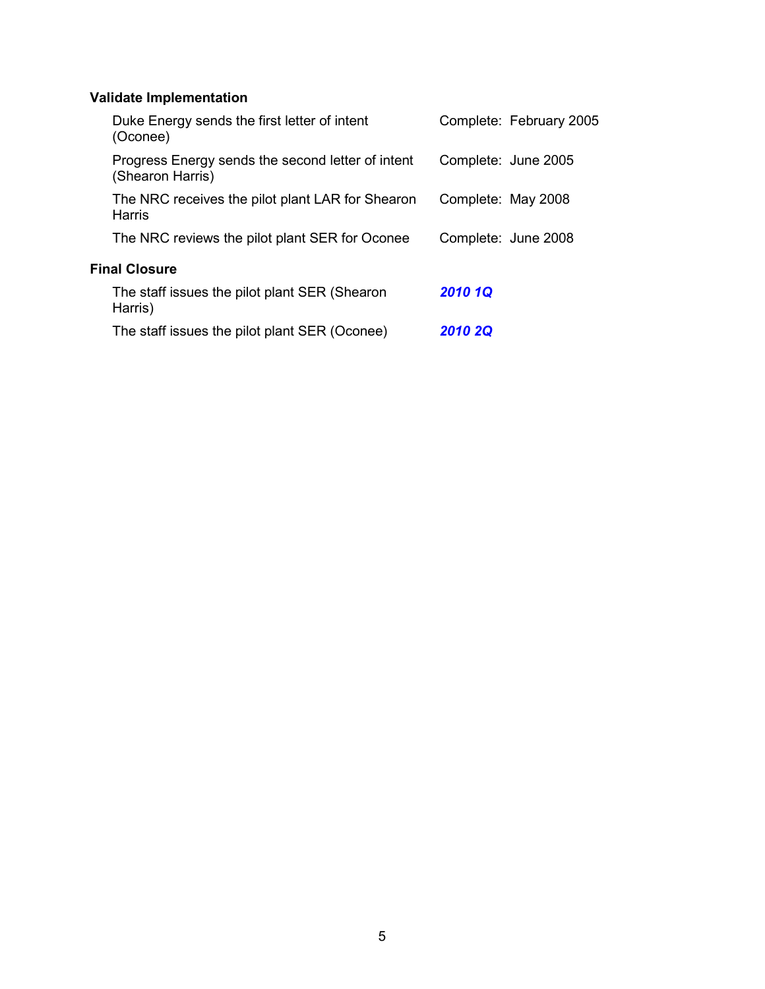# **Validate Implementation**

| Duke Energy sends the first letter of intent<br>(Oconee)              | Complete: February 2005 |
|-----------------------------------------------------------------------|-------------------------|
| Progress Energy sends the second letter of intent<br>(Shearon Harris) | Complete: June 2005     |
| The NRC receives the pilot plant LAR for Shearon<br>Harris            | Complete: May 2008      |
| The NRC reviews the pilot plant SER for Oconee                        | Complete: June 2008     |
| <b>Final Closure</b>                                                  |                         |
| The staff issues the pilot plant SER (Shearon<br>Harris)              | <b>2010 1Q</b>          |
| The staff issues the pilot plant SER (Oconee)                         | <b>2010 2Q</b>          |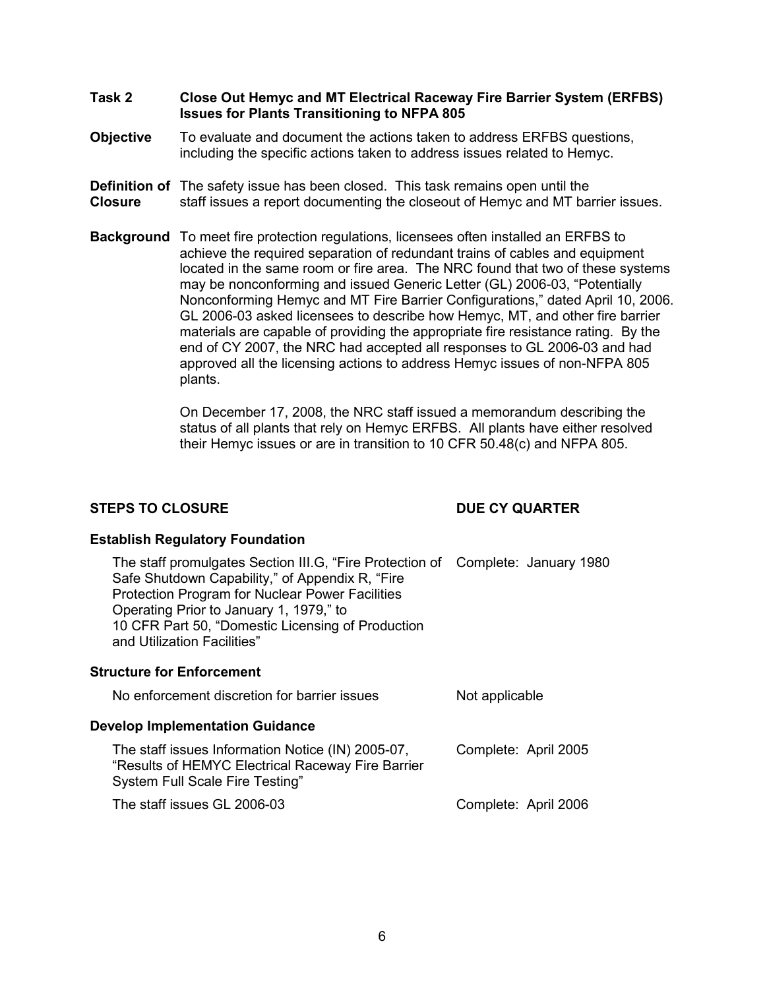- **Task 2 Close Out Hemyc and MT Electrical Raceway Fire Barrier System (ERFBS) Issues for Plants Transitioning to NFPA 805**
- **Objective** To evaluate and document the actions taken to address ERFBS questions, including the specific actions taken to address issues related to Hemyc.
- **Definition of** The safety issue has been closed. This task remains open until the **Closure** staff issues a report documenting the closeout of Hemyc and MT barrier issues.
- **Background** To meet fire protection regulations, licensees often installed an ERFBS to achieve the required separation of redundant trains of cables and equipment located in the same room or fire area. The NRC found that two of these systems may be nonconforming and issued Generic Letter (GL) 2006-03, "Potentially Nonconforming Hemyc and MT Fire Barrier Configurations," dated April 10, 2006. GL 2006-03 asked licensees to describe how Hemyc, MT, and other fire barrier materials are capable of providing the appropriate fire resistance rating. By the end of CY 2007, the NRC had accepted all responses to GL 2006-03 and had approved all the licensing actions to address Hemyc issues of non-NFPA 805 plants.

On December 17, 2008, the NRC staff issued a memorandum describing the status of all plants that rely on Hemyc ERFBS. All plants have either resolved their Hemyc issues or are in transition to 10 CFR 50.48(c) and NFPA 805.

### **STEPS TO CLOSURE DUE CY QUARTER**

### **Establish Regulatory Foundation**

The staff promulgates Section III.G, "Fire Protection of Complete: January 1980 Safe Shutdown Capability," of Appendix R, "Fire Protection Program for Nuclear Power Facilities Operating Prior to January 1, 1979," to 10 CFR Part 50, "Domestic Licensing of Production and Utilization Facilities"

#### **Structure for Enforcement**

| No enforcement discretion for barrier issues | Not applicable |
|----------------------------------------------|----------------|
|                                              |                |

#### **Develop Implementation Guidance**

The staff issues Information Notice (IN) 2005-07, "Results of HEMYC Electrical Raceway Fire Barrier System Full Scale Fire Testing" Complete: April 2005 The staff issues GL 2006-03 Complete: April 2006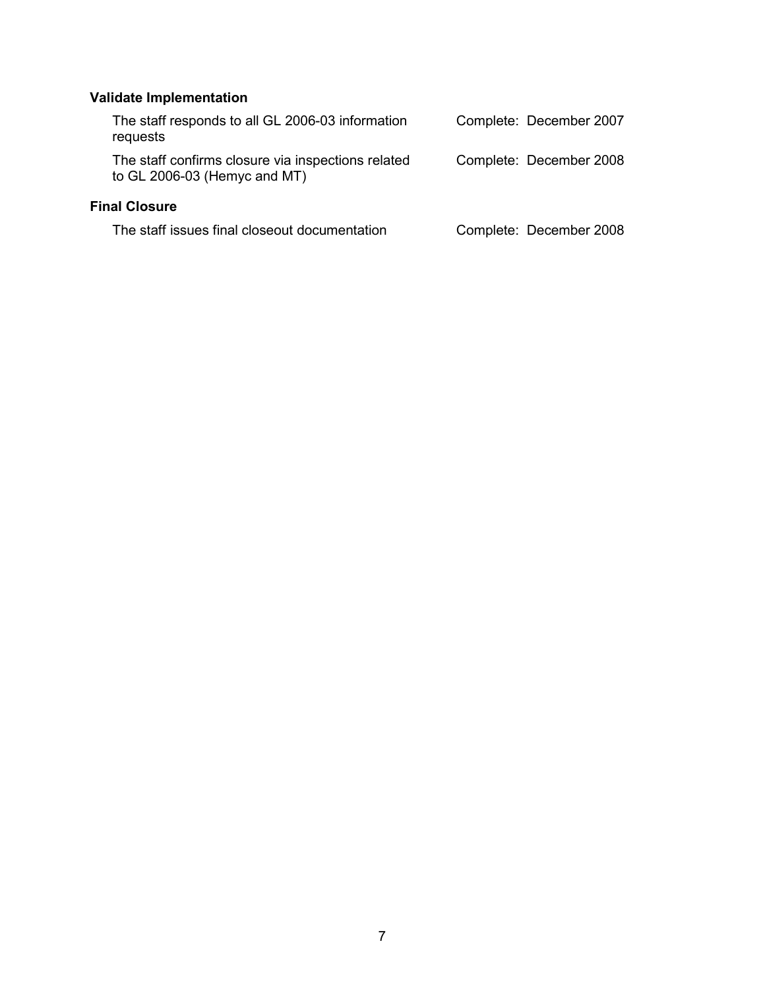# **Validate Implementation**

| The staff responds to all GL 2006-03 information<br>requests                       | Complete: December 2007 |  |
|------------------------------------------------------------------------------------|-------------------------|--|
| The staff confirms closure via inspections related<br>to GL 2006-03 (Hemyc and MT) | Complete: December 2008 |  |
| <b>Final Closure</b>                                                               |                         |  |
| The staff issues final closeout documentation                                      | Complete: December 2008 |  |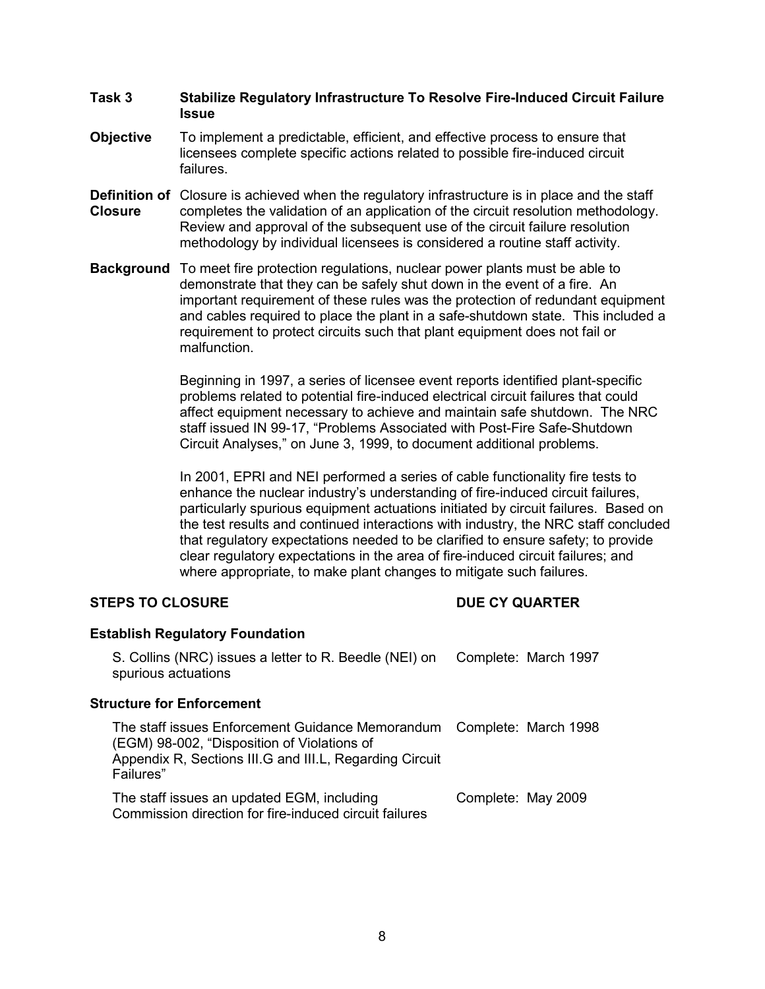#### **Task 3 Stabilize Regulatory Infrastructure To Resolve Fire-Induced Circuit Failure Issue**

- **Objective** To implement a predictable, efficient, and effective process to ensure that licensees complete specific actions related to possible fire-induced circuit failures.
- **Definition of** Closure is achieved when the regulatory infrastructure is in place and the staff **Closure** completes the validation of an application of the circuit resolution methodology. Review and approval of the subsequent use of the circuit failure resolution methodology by individual licensees is considered a routine staff activity.
- **Background** To meet fire protection regulations, nuclear power plants must be able to demonstrate that they can be safely shut down in the event of a fire. An important requirement of these rules was the protection of redundant equipment and cables required to place the plant in a safe-shutdown state. This included a requirement to protect circuits such that plant equipment does not fail or malfunction.

Beginning in 1997, a series of licensee event reports identified plant-specific problems related to potential fire-induced electrical circuit failures that could affect equipment necessary to achieve and maintain safe shutdown. The NRC staff issued IN 99-17, "Problems Associated with Post-Fire Safe-Shutdown Circuit Analyses," on June 3, 1999, to document additional problems.

In 2001, EPRI and NEI performed a series of cable functionality fire tests to enhance the nuclear industry's understanding of fire-induced circuit failures, particularly spurious equipment actuations initiated by circuit failures. Based on the test results and continued interactions with industry, the NRC staff concluded that regulatory expectations needed to be clarified to ensure safety; to provide clear regulatory expectations in the area of fire-induced circuit failures; and where appropriate, to make plant changes to mitigate such failures.

### **STEPS TO CLOSURE DUE CY QUARTER**

| <b>Establish Regulatory Foundation</b>                                                                                                                                                       |                    |                      |
|----------------------------------------------------------------------------------------------------------------------------------------------------------------------------------------------|--------------------|----------------------|
| S. Collins (NRC) issues a letter to R. Beedle (NEI) on<br>spurious actuations                                                                                                                |                    | Complete: March 1997 |
| Structure for Enforcement                                                                                                                                                                    |                    |                      |
| The staff issues Enforcement Guidance Memorandum Complete: March 1998<br>(EGM) 98-002, "Disposition of Violations of<br>Appendix R, Sections III.G and III.L, Regarding Circuit<br>Failures" |                    |                      |
| The staff issues an updated EGM, including<br>Commission direction for fire-induced circuit failures                                                                                         | Complete: May 2009 |                      |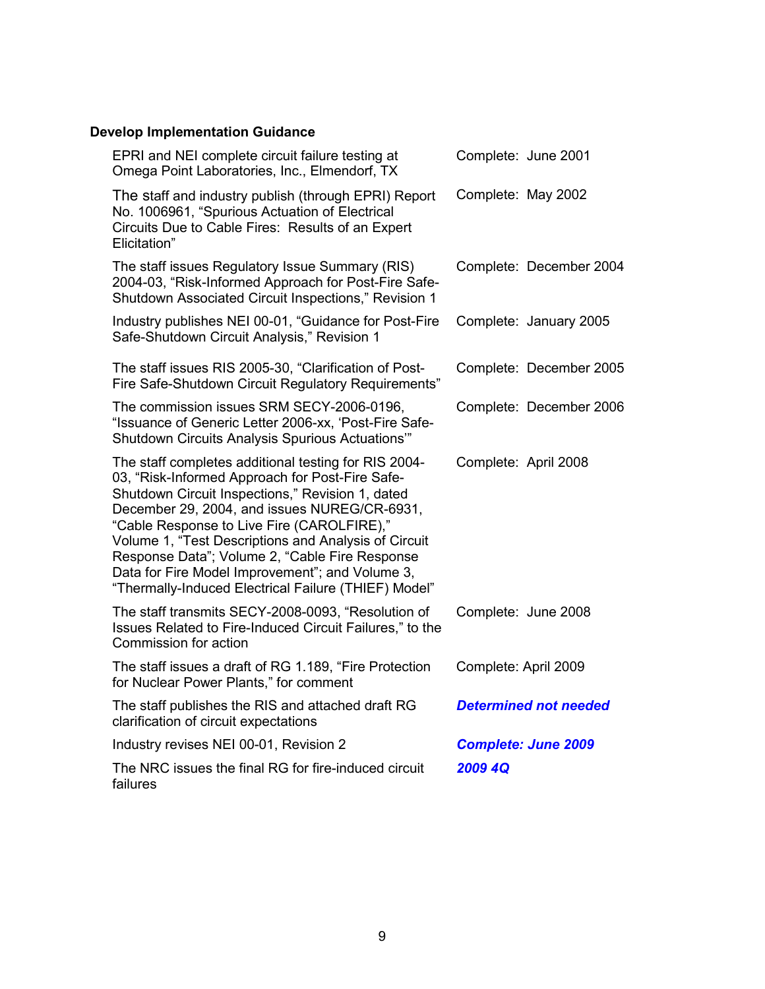# **Develop Implementation Guidance**

| EPRI and NEI complete circuit failure testing at<br>Omega Point Laboratories, Inc., Elmendorf, TX                                                                                                                                                                                                                                                                                                                                                                              | Complete: June 2001          |
|--------------------------------------------------------------------------------------------------------------------------------------------------------------------------------------------------------------------------------------------------------------------------------------------------------------------------------------------------------------------------------------------------------------------------------------------------------------------------------|------------------------------|
| The staff and industry publish (through EPRI) Report<br>No. 1006961, "Spurious Actuation of Electrical<br>Circuits Due to Cable Fires: Results of an Expert<br>Elicitation"                                                                                                                                                                                                                                                                                                    | Complete: May 2002           |
| The staff issues Regulatory Issue Summary (RIS)<br>2004-03, "Risk-Informed Approach for Post-Fire Safe-<br>Shutdown Associated Circuit Inspections," Revision 1                                                                                                                                                                                                                                                                                                                | Complete: December 2004      |
| Industry publishes NEI 00-01, "Guidance for Post-Fire<br>Safe-Shutdown Circuit Analysis," Revision 1                                                                                                                                                                                                                                                                                                                                                                           | Complete: January 2005       |
| The staff issues RIS 2005-30, "Clarification of Post-<br>Fire Safe-Shutdown Circuit Regulatory Requirements"                                                                                                                                                                                                                                                                                                                                                                   | Complete: December 2005      |
| The commission issues SRM SECY-2006-0196,<br>"Issuance of Generic Letter 2006-xx, 'Post-Fire Safe-<br>Shutdown Circuits Analysis Spurious Actuations"                                                                                                                                                                                                                                                                                                                          | Complete: December 2006      |
| The staff completes additional testing for RIS 2004-<br>03, "Risk-Informed Approach for Post-Fire Safe-<br>Shutdown Circuit Inspections," Revision 1, dated<br>December 29, 2004, and issues NUREG/CR-6931,<br>"Cable Response to Live Fire (CAROLFIRE),"<br>Volume 1, "Test Descriptions and Analysis of Circuit<br>Response Data"; Volume 2, "Cable Fire Response<br>Data for Fire Model Improvement"; and Volume 3,<br>"Thermally-Induced Electrical Failure (THIEF) Model" | Complete: April 2008         |
| The staff transmits SECY-2008-0093, "Resolution of<br>Issues Related to Fire-Induced Circuit Failures," to the<br>Commission for action                                                                                                                                                                                                                                                                                                                                        | Complete: June 2008          |
| The staff issues a draft of RG 1.189, "Fire Protection<br>for Nuclear Power Plants," for comment                                                                                                                                                                                                                                                                                                                                                                               | Complete: April 2009         |
| The staff publishes the RIS and attached draft RG<br>clarification of circuit expectations                                                                                                                                                                                                                                                                                                                                                                                     | <b>Determined not needed</b> |
| Industry revises NEI 00-01, Revision 2                                                                                                                                                                                                                                                                                                                                                                                                                                         | <b>Complete: June 2009</b>   |
| The NRC issues the final RG for fire-induced circuit<br>failures                                                                                                                                                                                                                                                                                                                                                                                                               | 2009 4Q                      |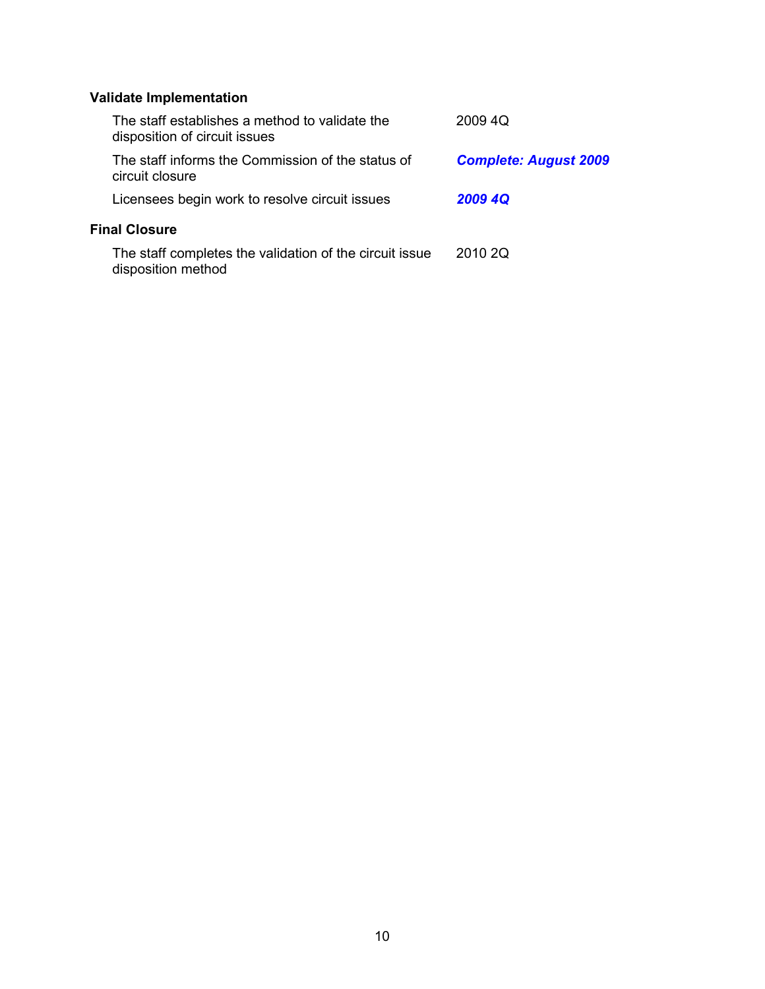# **Validate Implementation**

| The staff establishes a method to validate the<br>disposition of circuit issues | 2009 4Q                      |
|---------------------------------------------------------------------------------|------------------------------|
| The staff informs the Commission of the status of<br>circuit closure            | <b>Complete: August 2009</b> |
| Licensees begin work to resolve circuit issues                                  | 2009 4Q                      |
| <b>Final Closure</b>                                                            |                              |
| The staff completes the validation of the circuit issue<br>disposition method   | 2010 2Q                      |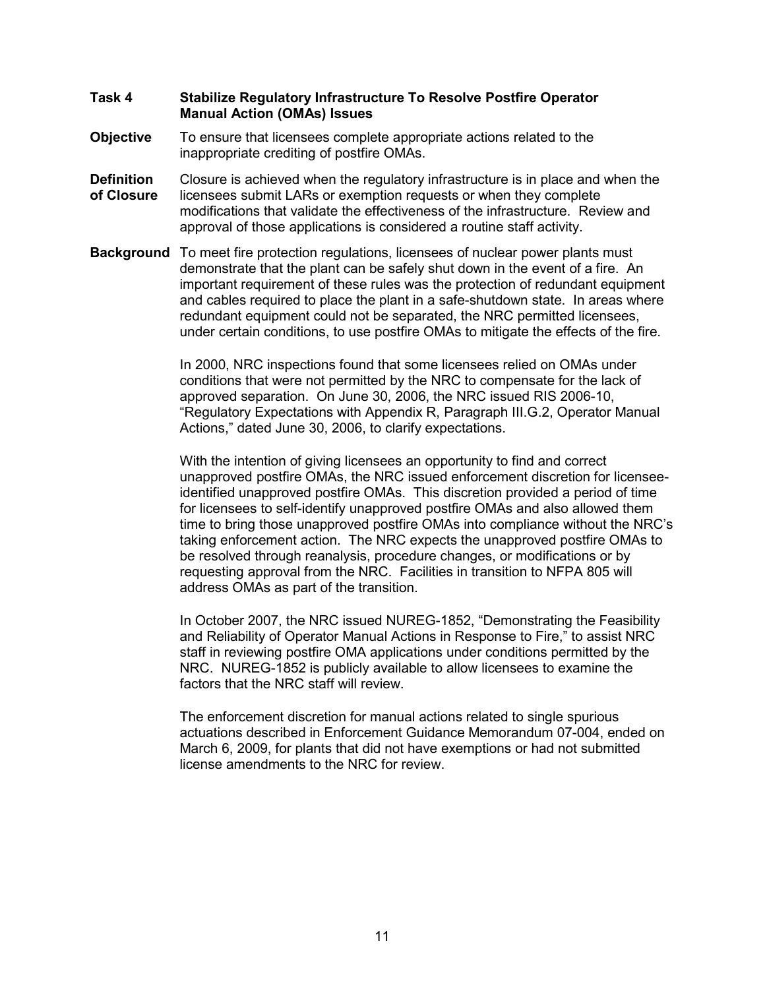#### **Task 4 Stabilize Regulatory Infrastructure To Resolve Postfire Operator Manual Action (OMAs) Issues**

- **Objective** To ensure that licensees complete appropriate actions related to the inappropriate crediting of postfire OMAs.
- **Definition** Closure is achieved when the regulatory infrastructure is in place and when the **of Closure** licensees submit LARs or exemption requests or when they complete modifications that validate the effectiveness of the infrastructure. Review and approval of those applications is considered a routine staff activity.
- **Background** To meet fire protection regulations, licensees of nuclear power plants must demonstrate that the plant can be safely shut down in the event of a fire. An important requirement of these rules was the protection of redundant equipment and cables required to place the plant in a safe-shutdown state. In areas where redundant equipment could not be separated, the NRC permitted licensees, under certain conditions, to use postfire OMAs to mitigate the effects of the fire.

In 2000, NRC inspections found that some licensees relied on OMAs under conditions that were not permitted by the NRC to compensate for the lack of approved separation. On June 30, 2006, the NRC issued RIS 2006-10, "Regulatory Expectations with Appendix R, Paragraph III.G.2, Operator Manual Actions," dated June 30, 2006, to clarify expectations.

With the intention of giving licensees an opportunity to find and correct unapproved postfire OMAs, the NRC issued enforcement discretion for licenseeidentified unapproved postfire OMAs. This discretion provided a period of time for licensees to self-identify unapproved postfire OMAs and also allowed them time to bring those unapproved postfire OMAs into compliance without the NRC's taking enforcement action. The NRC expects the unapproved postfire OMAs to be resolved through reanalysis, procedure changes, or modifications or by requesting approval from the NRC. Facilities in transition to NFPA 805 will address OMAs as part of the transition.

In October 2007, the NRC issued NUREG-1852, "Demonstrating the Feasibility and Reliability of Operator Manual Actions in Response to Fire," to assist NRC staff in reviewing postfire OMA applications under conditions permitted by the NRC. NUREG-1852 is publicly available to allow licensees to examine the factors that the NRC staff will review.

The enforcement discretion for manual actions related to single spurious actuations described in Enforcement Guidance Memorandum 07-004, ended on March 6, 2009, for plants that did not have exemptions or had not submitted license amendments to the NRC for review.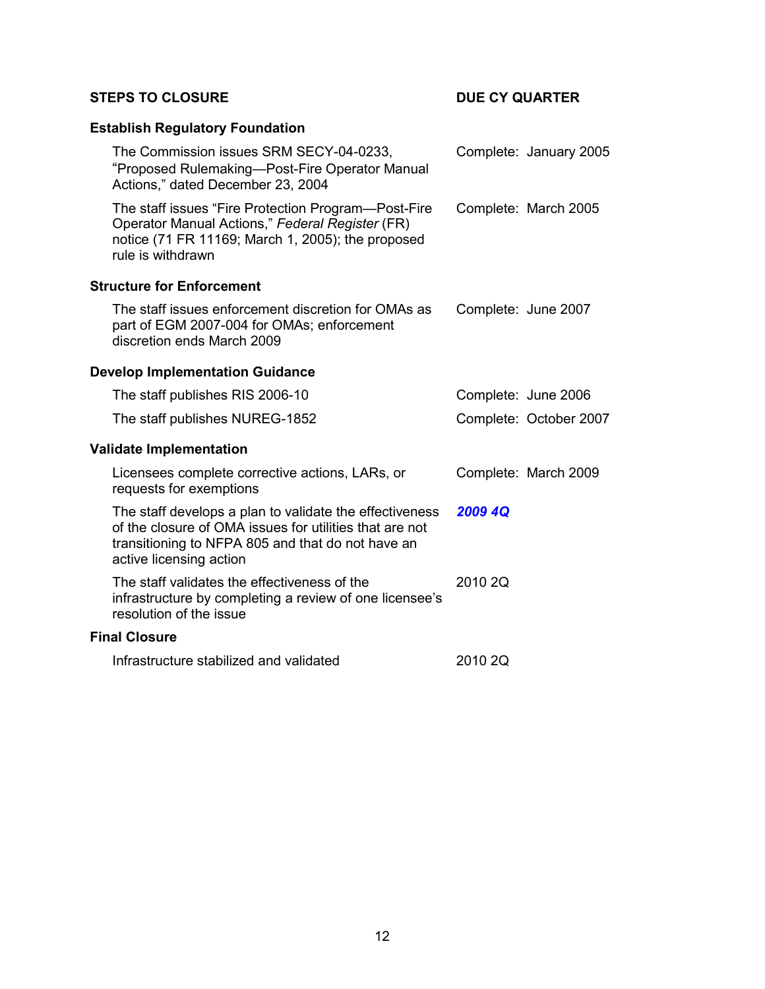## **STEPS TO CLOSURE DUE CY QUARTER**

| <b>Establish Regulatory Foundation</b>                                                                                                                                                             |         |                        |
|----------------------------------------------------------------------------------------------------------------------------------------------------------------------------------------------------|---------|------------------------|
| The Commission issues SRM SECY-04-0233,<br>"Proposed Rulemaking-Post-Fire Operator Manual<br>Actions," dated December 23, 2004                                                                     |         | Complete: January 2005 |
| The staff issues "Fire Protection Program-Post-Fire<br>Operator Manual Actions," Federal Register (FR)<br>notice (71 FR 11169; March 1, 2005); the proposed<br>rule is withdrawn                   |         | Complete: March 2005   |
| <b>Structure for Enforcement</b>                                                                                                                                                                   |         |                        |
| The staff issues enforcement discretion for OMAs as<br>part of EGM 2007-004 for OMAs; enforcement<br>discretion ends March 2009                                                                    |         | Complete: June 2007    |
| <b>Develop Implementation Guidance</b>                                                                                                                                                             |         |                        |
| The staff publishes RIS 2006-10                                                                                                                                                                    |         | Complete: June 2006    |
| The staff publishes NUREG-1852                                                                                                                                                                     |         | Complete: October 2007 |
| <b>Validate Implementation</b>                                                                                                                                                                     |         |                        |
| Licensees complete corrective actions, LARs, or<br>requests for exemptions                                                                                                                         |         | Complete: March 2009   |
| The staff develops a plan to validate the effectiveness<br>of the closure of OMA issues for utilities that are not<br>transitioning to NFPA 805 and that do not have an<br>active licensing action | 2009 4Q |                        |
| The staff validates the effectiveness of the<br>infrastructure by completing a review of one licensee's<br>resolution of the issue                                                                 | 2010 2Q |                        |
| <b>Final Closure</b>                                                                                                                                                                               |         |                        |
| Infrastructure stabilized and validated                                                                                                                                                            | 2010 2Q |                        |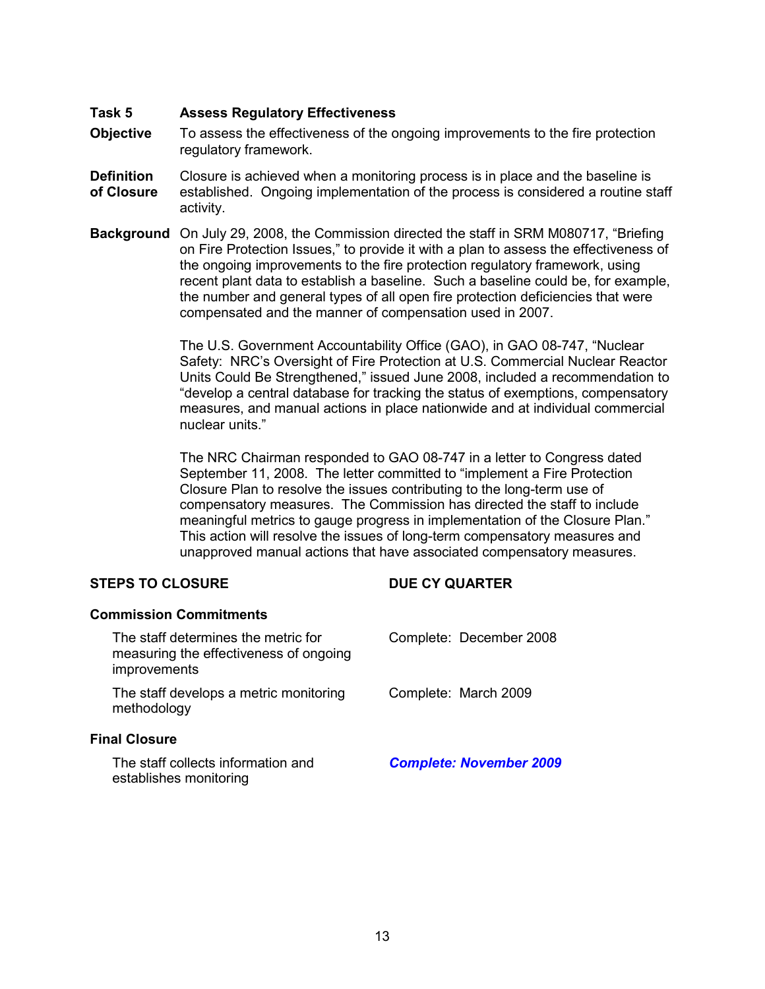#### **Task 5 Assess Regulatory Effectiveness**

- **Objective** To assess the effectiveness of the ongoing improvements to the fire protection regulatory framework.
- **Definition** Closure is achieved when a monitoring process is in place and the baseline is **of Closure** established. Ongoing implementation of the process is considered a routine staff activity.
- **Background** On July 29, 2008, the Commission directed the staff in SRM M080717, "Briefing on Fire Protection Issues," to provide it with a plan to assess the effectiveness of the ongoing improvements to the fire protection regulatory framework, using recent plant data to establish a baseline. Such a baseline could be, for example, the number and general types of all open fire protection deficiencies that were compensated and the manner of compensation used in 2007.

The U.S. Government Accountability Office (GAO), in GAO 08-747, "Nuclear Safety: NRC's Oversight of Fire Protection at U.S. Commercial Nuclear Reactor Units Could Be Strengthened," issued June 2008, included a recommendation to "develop a central database for tracking the status of exemptions, compensatory measures, and manual actions in place nationwide and at individual commercial nuclear units."

The NRC Chairman responded to GAO 08-747 in a letter to Congress dated September 11, 2008. The letter committed to "implement a Fire Protection Closure Plan to resolve the issues contributing to the long-term use of compensatory measures. The Commission has directed the staff to include meaningful metrics to gauge progress in implementation of the Closure Plan." This action will resolve the issues of long-term compensatory measures and unapproved manual actions that have associated compensatory measures.

### **STEPS TO CLOSURE DUE CY QUARTER**

| <b>Commission Commitments</b>                                                                 |                                |
|-----------------------------------------------------------------------------------------------|--------------------------------|
| The staff determines the metric for<br>measuring the effectiveness of ongoing<br>improvements | Complete: December 2008        |
| The staff develops a metric monitoring<br>methodology                                         | Complete: March 2009           |
| <b>Final Closure</b>                                                                          |                                |
| The staff collects information and<br>establishes monitoring                                  | <b>Complete: November 2009</b> |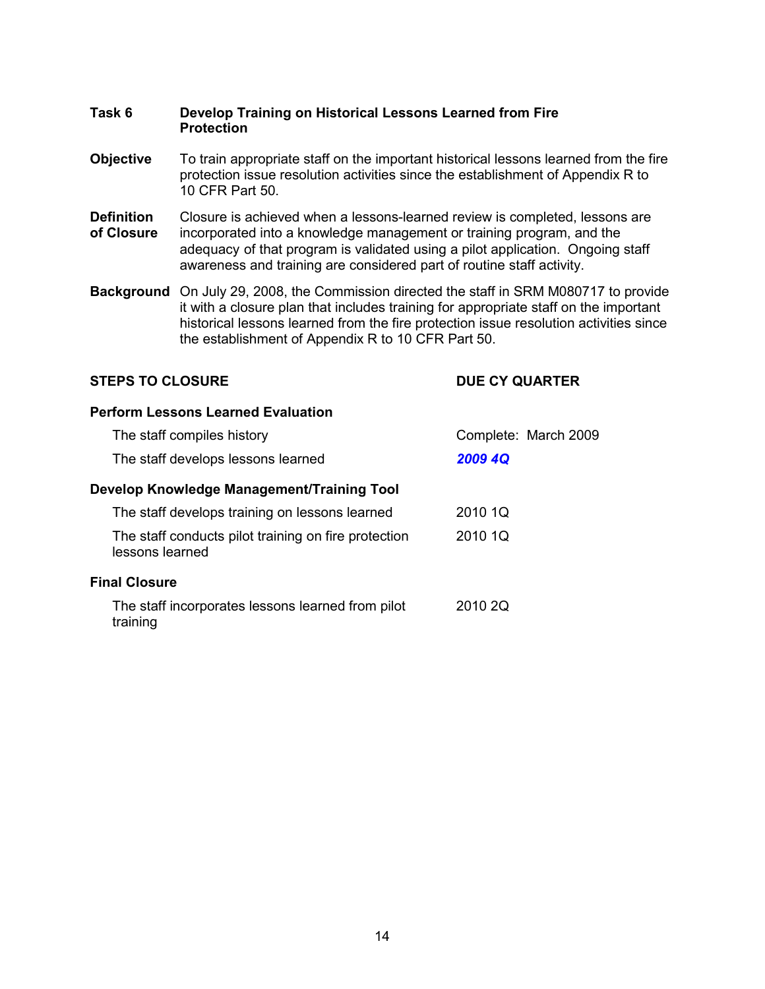### **Task 6 Develop Training on Historical Lessons Learned from Fire Protection**

- **Objective** To train appropriate staff on the important historical lessons learned from the fire protection issue resolution activities since the establishment of Appendix R to 10 CFR Part 50.
- **Definition** Closure is achieved when a lessons-learned review is completed, lessons are **of Closure** incorporated into a knowledge management or training program, and the adequacy of that program is validated using a pilot application. Ongoing staff awareness and training are considered part of routine staff activity.
- **Background** On July 29, 2008, the Commission directed the staff in SRM M080717 to provide it with a closure plan that includes training for appropriate staff on the important historical lessons learned from the fire protection issue resolution activities since the establishment of Appendix R to 10 CFR Part 50.

### **STEPS TO CLOSURE DUE CY QUARTER**

#### **Perform Lessons Learned Evaluation**

| The staff compiles history                                              | Complete: March 2009 |
|-------------------------------------------------------------------------|----------------------|
| The staff develops lessons learned                                      | 2009 4Q              |
| Develop Knowledge Management/Training Tool                              |                      |
| The staff develops training on lessons learned                          | 2010 1Q              |
| The staff conducts pilot training on fire protection<br>lessons learned | 2010 1Q              |
| <b>Final Closure</b>                                                    |                      |
| The staff incorporates lessons learned from pilot<br>training           | 2010 2Q              |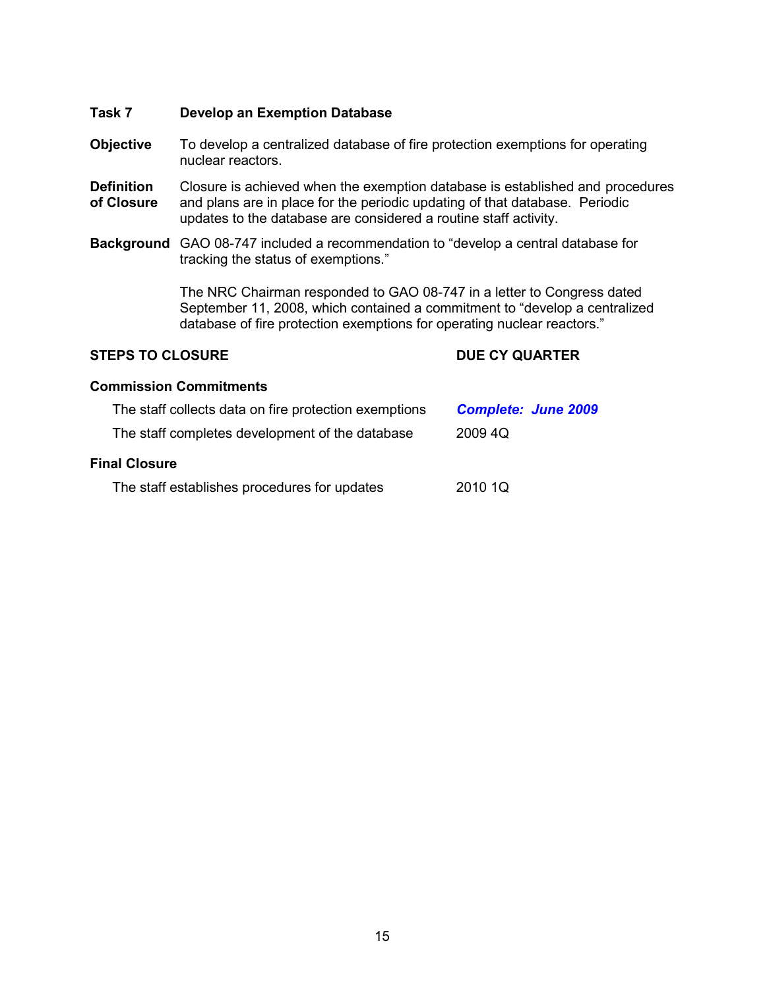#### **Task 7 Develop an Exemption Database**

- **Objective** To develop a centralized database of fire protection exemptions for operating nuclear reactors.
- **Definition** Closure is achieved when the exemption database is established and procedures **of Closure** and plans are in place for the periodic updating of that database. Periodic updates to the database are considered a routine staff activity.
- **Background** GAO 08-747 included a recommendation to "develop a central database for tracking the status of exemptions."

The NRC Chairman responded to GAO 08-747 in a letter to Congress dated September 11, 2008, which contained a commitment to "develop a centralized database of fire protection exemptions for operating nuclear reactors."

#### **STEPS TO CLOSURE DUE CY QUARTER**

#### **Commission Commitments**

| The staff collects data on fire protection exemptions | <b>Complete: June 2009</b> |
|-------------------------------------------------------|----------------------------|
| The staff completes development of the database       | 2009 4Q                    |
| <b>Final Closure</b>                                  |                            |
| The staff establishes procedures for updates          | 2010 1Q                    |